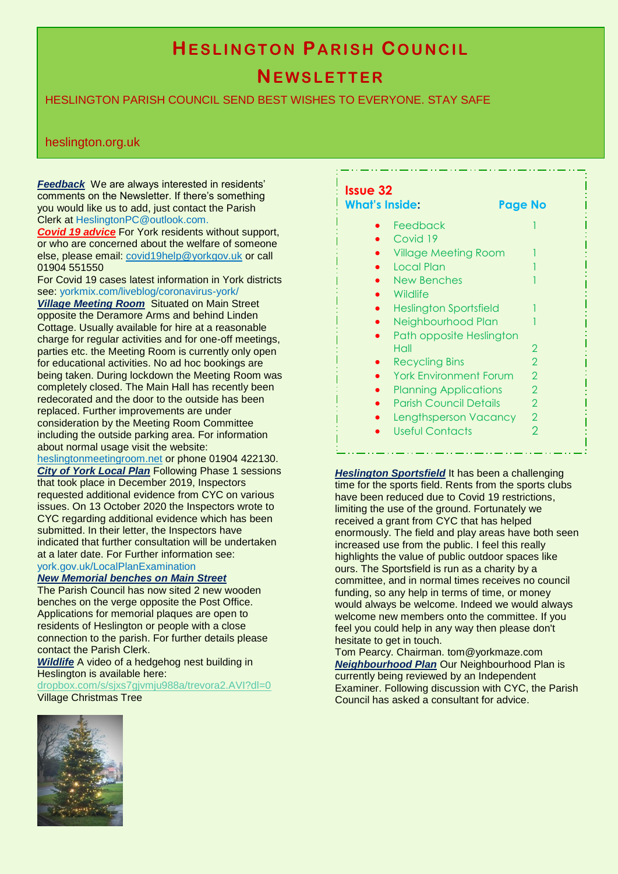# **HESLINGTON PARISH COUNCIL**

# **NE W S L E T T E R**

# HESLINGTON PARISH COUNCIL SEND BEST WISHES TO EVERYONE. STAY SAFE

## heslington.org.uk

*Feedback* We are always interested in residents' comments on the Newsletter. If there's something you would like us to add, just contact the Parish Clerk at HeslingtonPC@outlook.com.

*Covid 19 advice* For York residents without support, or who are concerned about the welfare of someone else, please email: [covid19help@yorkgov.uk](mailto:covid19help@yorkgov.uk) or call 01904 551550

For Covid 19 cases latest information in York districts see: yorkmix.com/liveblog/coronavirus-york/

*Village Meeting Room* Situated on Main Street opposite the Deramore Arms and behind Linden Cottage. Usually available for hire at a reasonable charge for regular activities and for one-off meetings, parties etc. the Meeting Room is currently only open for educational activities. No ad hoc bookings are being taken. During lockdown the Meeting Room was completely closed. The Main Hall has recently been redecorated and the door to the outside has been replaced. Further improvements are under consideration by the Meeting Room Committee including the outside parking area. For information about normal usage visit the website:

[heslingtonmeetingroom.net](http://www.heslingtonmeetingroom.net/) or phone 01904 422130. *City of York Local Plan* Following Phase 1 sessions that took place in December 2019, Inspectors requested additional evidence from CYC on various issues. On 13 October 2020 the Inspectors wrote to CYC regarding additional evidence which has been submitted. In their letter, the Inspectors have indicated that further consultation will be undertaken at a later date. For Further information see: york.gov.uk/LocalPlanExamination

*New Memorial benches on Main Street*

The Parish Council has now sited 2 new wooden benches on the verge opposite the Post Office. Applications for memorial plaques are open to residents of Heslington or people with a close connection to the parish. For further details please contact the Parish Clerk.

#### *Wildlife* A video of a hedgehog nest building in Heslington is available here:

[dropbox.com/s/sjxs7gjvmju988a/trevora2.AVI?dl=0](https://www.dropbox.com/s/sjxs7gjvmju988a/trevora2.AVI?dl=0) Village Christmas Tree

| <b>What's Inside:</b>         | Page No                  |
|-------------------------------|--------------------------|
| Feedback                      |                          |
| Covid 19                      |                          |
| <b>Village Meeting Room</b>   |                          |
| <b>Local Plan</b>             |                          |
| New Benches                   |                          |
| Wildlife                      |                          |
| <b>Heslington Sportsfield</b> | 1                        |
| Neighbourhood Plan            |                          |
| Path opposite Heslington      |                          |
| Hall                          | $\overline{2}$           |
| <b>Recycling Bins</b>         | $\overline{2}$           |
| <b>York Environment Forum</b> | $\overline{2}$           |
| <b>Planning Applications</b>  | $\overline{2}$           |
| <b>Parish Council Details</b> | $\mathcal{P}$            |
| Lengthsperson Vacancy         | $\overline{2}$           |
| Useful Contacts               | $\overline{\phantom{0}}$ |

*Heslington Sportsfield* It has been a challenging time for the sports field. Rents from the sports clubs have been reduced due to Covid 19 restrictions, limiting the use of the ground. Fortunately we received a grant from CYC that has helped enormously. The field and play areas have both seen increased use from the public. I feel this really highlights the value of public outdoor spaces like ours. The Sportsfield is run as a charity by a committee, and in normal times receives no council funding, so any help in terms of time, or money would always be welcome. Indeed we would always welcome new members onto the committee. If you feel you could help in any way then please don't hesitate to get in touch.

Tom Pearcy. Chairman. tom@yorkmaze.com *Neighbourhood Plan* Our Neighbourhood Plan is currently being reviewed by an Independent Examiner. Following discussion with CYC, the Parish Council has asked a consultant for advice.